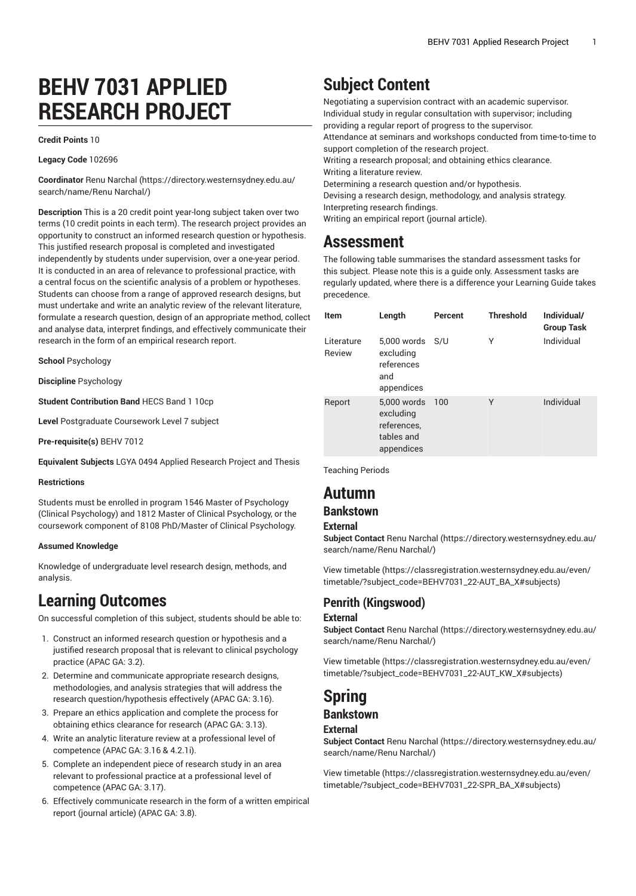# **BEHV 7031 APPLIED RESEARCH PROJECT**

#### **Credit Points** 10

#### **Legacy Code** 102696

**Coordinator** Renu [Narchal](https://directory.westernsydney.edu.au/search/name/Renu Narchal/) ([https://directory.westernsydney.edu.au/](https://directory.westernsydney.edu.au/search/name/Renu Narchal/) [search/name/Renu](https://directory.westernsydney.edu.au/search/name/Renu Narchal/) Narchal/)

**Description** This is a 20 credit point year-long subject taken over two terms (10 credit points in each term). The research project provides an opportunity to construct an informed research question or hypothesis. This justified research proposal is completed and investigated independently by students under supervision, over a one-year period. It is conducted in an area of relevance to professional practice, with a central focus on the scientific analysis of a problem or hypotheses. Students can choose from a range of approved research designs, but must undertake and write an analytic review of the relevant literature, formulate a research question, design of an appropriate method, collect and analyse data, interpret findings, and effectively communicate their research in the form of an empirical research report.

**School** Psychology

**Discipline** Psychology

**Student Contribution Band** HECS Band 1 10cp

**Level** Postgraduate Coursework Level 7 subject

**Pre-requisite(s)** [BEHV 7012](/search/?P=BEHV%207012)

**Equivalent Subjects** LGYA 0494 Applied Research Project and Thesis

#### **Restrictions**

Students must be enrolled in program 1546 Master of Psychology (Clinical Psychology) and 1812 Master of Clinical Psychology, or the coursework component of 8108 PhD/Master of Clinical Psychology.

#### **Assumed Knowledge**

Knowledge of undergraduate level research design, methods, and analysis.

## **Learning Outcomes**

On successful completion of this subject, students should be able to:

- 1. Construct an informed research question or hypothesis and a justified research proposal that is relevant to clinical psychology practice (APAC GA: 3.2).
- 2. Determine and communicate appropriate research designs, methodologies, and analysis strategies that will address the research question/hypothesis effectively (APAC GA: 3.16).
- 3. Prepare an ethics application and complete the process for obtaining ethics clearance for research (APAC GA: 3.13).
- 4. Write an analytic literature review at a professional level of competence (APAC GA: 3.16 & 4.2.1i).
- 5. Complete an independent piece of research study in an area relevant to professional practice at a professional level of competence (APAC GA: 3.17).
- 6. Effectively communicate research in the form of a written empirical report (journal article) (APAC GA: 3.8).

## **Subject Content**

Negotiating a supervision contract with an academic supervisor. Individual study in regular consultation with supervisor; including providing a regular report of progress to the supervisor. Attendance at seminars and workshops conducted from time-to-time to support completion of the research project. Writing a research proposal; and obtaining ethics clearance. Writing a literature review. Determining a research question and/or hypothesis. Devising a research design, methodology, and analysis strategy. Interpreting research findings.

Writing an empirical report (journal article).

## **Assessment**

The following table summarises the standard assessment tasks for this subject. Please note this is a guide only. Assessment tasks are regularly updated, where there is a difference your Learning Guide takes precedence.

| <b>Item</b>          | Length                                                              | Percent | <b>Threshold</b> | Individual/<br><b>Group Task</b> |
|----------------------|---------------------------------------------------------------------|---------|------------------|----------------------------------|
| Literature<br>Review | 5,000 words<br>excluding<br>references<br>and<br>appendices         | S/U     | Υ                | Individual                       |
| Report               | 5,000 words<br>excluding<br>references,<br>tables and<br>appendices | 100     | Υ                | Individual                       |

Teaching Periods

## **Autumn**

#### **Bankstown**

#### **External**

**Subject Contact** Renu [Narchal](https://directory.westernsydney.edu.au/search/name/Renu Narchal/) ([https://directory.westernsydney.edu.au/](https://directory.westernsydney.edu.au/search/name/Renu Narchal/) [search/name/Renu](https://directory.westernsydney.edu.au/search/name/Renu Narchal/) Narchal/)

[View timetable](https://classregistration.westernsydney.edu.au/even/timetable/?subject_code=BEHV7031_22-AUT_BA_X#subjects) [\(https://classregistration.westernsydney.edu.au/even/](https://classregistration.westernsydney.edu.au/even/timetable/?subject_code=BEHV7031_22-AUT_BA_X#subjects) [timetable/?subject\\_code=BEHV7031\\_22-AUT\\_BA\\_X#subjects](https://classregistration.westernsydney.edu.au/even/timetable/?subject_code=BEHV7031_22-AUT_BA_X#subjects))

### **Penrith (Kingswood)**

#### **External**

**Subject Contact** Renu [Narchal](https://directory.westernsydney.edu.au/search/name/Renu Narchal/) ([https://directory.westernsydney.edu.au/](https://directory.westernsydney.edu.au/search/name/Renu Narchal/) [search/name/Renu](https://directory.westernsydney.edu.au/search/name/Renu Narchal/) Narchal/)

[View timetable](https://classregistration.westernsydney.edu.au/even/timetable/?subject_code=BEHV7031_22-AUT_KW_X#subjects) [\(https://classregistration.westernsydney.edu.au/even/](https://classregistration.westernsydney.edu.au/even/timetable/?subject_code=BEHV7031_22-AUT_KW_X#subjects) [timetable/?subject\\_code=BEHV7031\\_22-AUT\\_KW\\_X#subjects](https://classregistration.westernsydney.edu.au/even/timetable/?subject_code=BEHV7031_22-AUT_KW_X#subjects))

## **Spring**

### **Bankstown**

#### **External**

**Subject Contact** Renu [Narchal](https://directory.westernsydney.edu.au/search/name/Renu Narchal/) ([https://directory.westernsydney.edu.au/](https://directory.westernsydney.edu.au/search/name/Renu Narchal/) [search/name/Renu](https://directory.westernsydney.edu.au/search/name/Renu Narchal/) Narchal/)

[View timetable](https://classregistration.westernsydney.edu.au/even/timetable/?subject_code=BEHV7031_22-SPR_BA_X#subjects) [\(https://classregistration.westernsydney.edu.au/even/](https://classregistration.westernsydney.edu.au/even/timetable/?subject_code=BEHV7031_22-SPR_BA_X#subjects) [timetable/?subject\\_code=BEHV7031\\_22-SPR\\_BA\\_X#subjects\)](https://classregistration.westernsydney.edu.au/even/timetable/?subject_code=BEHV7031_22-SPR_BA_X#subjects)